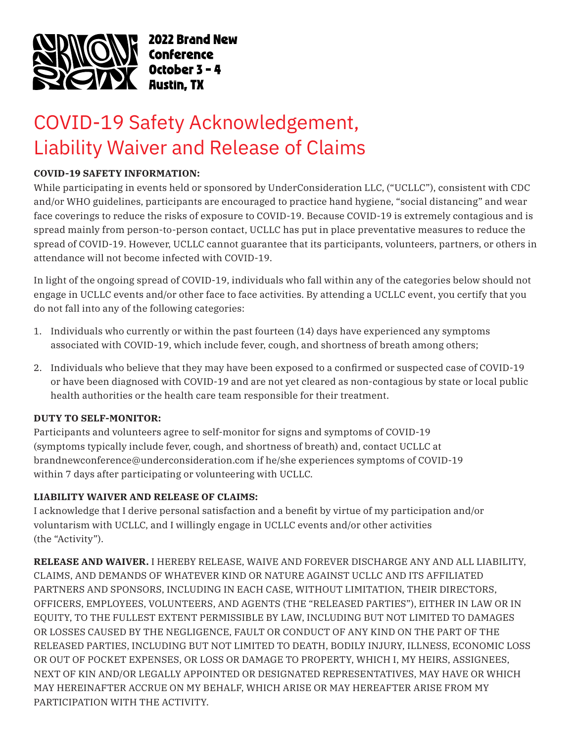

2022 Brand New **Conference** 

## COVID-19 Safety Acknowledgement, Liability Waiver and Release of Claims

## **COVID-19 SAFETY INFORMATION:**

While participating in events held or sponsored by UnderConsideration LLC, ("UCLLC"), consistent with CDC and/or WHO guidelines, participants are encouraged to practice hand hygiene, "social distancing" and wear face coverings to reduce the risks of exposure to COVID-19. Because COVID-19 is extremely contagious and is spread mainly from person-to-person contact, UCLLC has put in place preventative measures to reduce the spread of COVID-19. However, UCLLC cannot guarantee that its participants, volunteers, partners, or others in attendance will not become infected with COVID-19.

In light of the ongoing spread of COVID-19, individuals who fall within any of the categories below should not engage in UCLLC events and/or other face to face activities. By attending a UCLLC event, you certify that you do not fall into any of the following categories:

- 1. Individuals who currently or within the past fourteen (14) days have experienced any symptoms associated with COVID-19, which include fever, cough, and shortness of breath among others;
- 2. Individuals who believe that they may have been exposed to a confirmed or suspected case of COVID-19 or have been diagnosed with COVID-19 and are not yet cleared as non-contagious by state or local public health authorities or the health care team responsible for their treatment.

## **DUTY TO SELF-MONITOR:**

Participants and volunteers agree to self-monitor for signs and symptoms of COVID-19 (symptoms typically include fever, cough, and shortness of breath) and, contact UCLLC at brandnewconference@underconsideration.com if he/she experiences symptoms of COVID-19 within 7 days after participating or volunteering with UCLLC.

## **LIABILITY WAIVER AND RELEASE OF CLAIMS:**

I acknowledge that I derive personal satisfaction and a benefit by virtue of my participation and/or voluntarism with UCLLC, and I willingly engage in UCLLC events and/or other activities (the "Activity").

**RELEASE AND WAIVER.** I HEREBY RELEASE, WAIVE AND FOREVER DISCHARGE ANY AND ALL LIABILITY, CLAIMS, AND DEMANDS OF WHATEVER KIND OR NATURE AGAINST UCLLC AND ITS AFFILIATED PARTNERS AND SPONSORS, INCLUDING IN EACH CASE, WITHOUT LIMITATION, THEIR DIRECTORS, OFFICERS, EMPLOYEES, VOLUNTEERS, AND AGENTS (THE "RELEASED PARTIES"), EITHER IN LAW OR IN EQUITY, TO THE FULLEST EXTENT PERMISSIBLE BY LAW, INCLUDING BUT NOT LIMITED TO DAMAGES OR LOSSES CAUSED BY THE NEGLIGENCE, FAULT OR CONDUCT OF ANY KIND ON THE PART OF THE RELEASED PARTIES, INCLUDING BUT NOT LIMITED TO DEATH, BODILY INJURY, ILLNESS, ECONOMIC LOSS OR OUT OF POCKET EXPENSES, OR LOSS OR DAMAGE TO PROPERTY, WHICH I, MY HEIRS, ASSIGNEES, NEXT OF KIN AND/OR LEGALLY APPOINTED OR DESIGNATED REPRESENTATIVES, MAY HAVE OR WHICH MAY HEREINAFTER ACCRUE ON MY BEHALF, WHICH ARISE OR MAY HEREAFTER ARISE FROM MY PARTICIPATION WITH THE ACTIVITY.